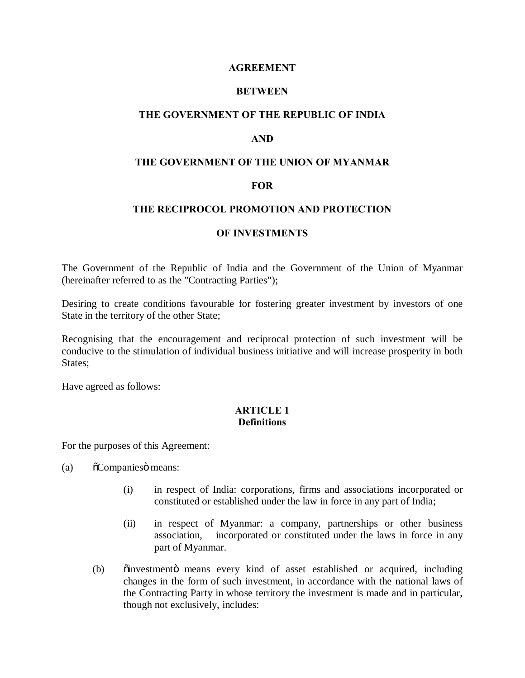### **AGREEMENT**

### **BETWEEN**

### **THE GOVERNMENT OF THE REPUBLIC OF INDIA**

### **AND**

### **THE GOVERNMENT OF THE UNION OF MYANMAR**

#### **FOR**

### **THE RECIPROCOL PROMOTION AND PROTECTION**

#### **OF INVESTMENTS**

The Government of the Republic of India and the Government of the Union of Myanmar (hereinafter referred to as the "Contracting Parties");

Desiring to create conditions favourable for fostering greater investment by investors of one State in the territory of the other State;

Recognising that the encouragement and reciprocal protection of such investment will be conducive to the stimulation of individual business initiative and will increase prosperity in both States;

Have agreed as follows:

### **ARTICLE 1 Definitions**

For the purposes of this Agreement:

- (a)  $\tilde{O}$ Companies means:
	- (i) in respect of India: corporations, firms and associations incorporated or constituted or established under the law in force in any part of India;
	- (ii) in respect of Myanmar: a company, partnerships or other business association, incorporated or constituted under the laws in force in any part of Myanmar.
	- (b) onlinestment in means every kind of asset established or acquired, including changes in the form of such investment, in accordance with the national laws of the Contracting Party in whose territory the investment is made and in particular, though not exclusively, includes: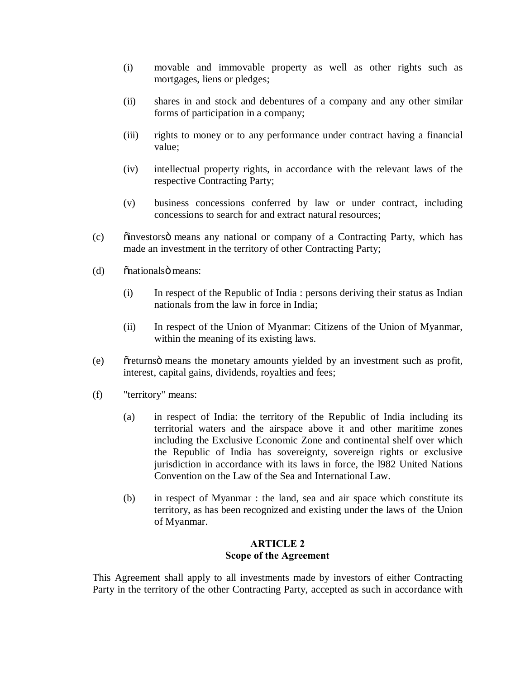- (i) movable and immovable property as well as other rights such as mortgages, liens or pledges;
- (ii) shares in and stock and debentures of a company and any other similar forms of participation in a company;
- (iii) rights to money or to any performance under contract having a financial value;
- (iv) intellectual property rights, in accordance with the relevant laws of the respective Contracting Party;
- (v) business concessions conferred by law or under contract, including concessions to search for and extract natural resources;
- (c) "investors" means any national or company of a Contracting Party, which has made an investment in the territory of other Contracting Party;
- (d) onationals imeans:
	- (i) In respect of the Republic of India : persons deriving their status as Indian nationals from the law in force in India;
	- (ii) In respect of the Union of Myanmar: Citizens of the Union of Myanmar, within the meaning of its existing laws.
- (e) observative orientary amounts yielded by an investment such as profit, interest, capital gains, dividends, royalties and fees;
- (f) "territory" means:
	- (a) in respect of India: the territory of the Republic of India including its territorial waters and the airspace above it and other maritime zones including the Exclusive Economic Zone and continental shelf over which the Republic of India has sovereignty, sovereign rights or exclusive jurisdiction in accordance with its laws in force, the 1982 United Nations Convention on the Law of the Sea and International Law.
	- (b) in respect of Myanmar : the land, sea and air space which constitute its territory, as has been recognized and existing under the laws of the Union of Myanmar.

## **ARTICLE 2 Scope of the Agreement**

This Agreement shall apply to all investments made by investors of either Contracting Party in the territory of the other Contracting Party, accepted as such in accordance with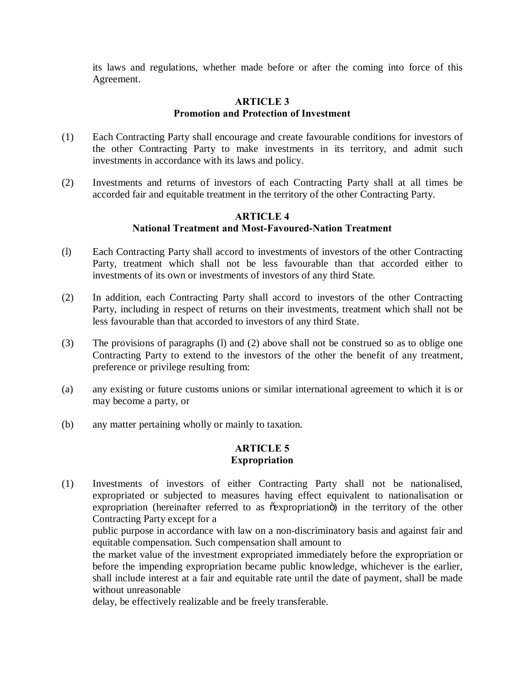its laws and regulations, whether made before or after the coming into force of this Agreement.

## **ARTICLE 3 Promotion and Protection of Investment**

- (1) Each Contracting Party shall encourage and create favourable conditions for investors of the other Contracting Party to make investments in its territory, and admit such investments in accordance with its laws and policy.
- (2) Investments and returns of investors of each Contracting Party shall at all times be accorded fair and equitable treatment in the territory of the other Contracting Party.

### **ARTICLE 4 National Treatment and Most-Favoured-Nation Treatment**

- (l) Each Contracting Party shall accord to investments of investors of the other Contracting Party, treatment which shall not be less favourable than that accorded either to investments of its own or investments of investors of any third State.
- (2) In addition, each Contracting Party shall accord to investors of the other Contracting Party, including in respect of returns on their investments, treatment which shall not be less favourable than that accorded to investors of any third State.
- (3) The provisions of paragraphs (l) and (2) above shall not be construed so as to oblige one Contracting Party to extend to the investors of the other the benefit of any treatment, preference or privilege resulting from:
- (a) any existing or future customs unions or similar international agreement to which it is or may become a party, or
- (b) any matter pertaining wholly or mainly to taxation.

## **ARTICLE 5 Expropriation**

(1) Investments of investors of either Contracting Party shall not be nationalised, expropriated or subjected to measures having effect equivalent to nationalisation or expropriation (hereinafter referred to as  $\tilde{c}$ expropriationo) in the territory of the other Contracting Party except for a

public purpose in accordance with law on a non-discriminatory basis and against fair and equitable compensation. Such compensation shall amount to

the market value of the investment expropriated immediately before the expropriation or before the impending expropriation became public knowledge, whichever is the earlier, shall include interest at a fair and equitable rate until the date of payment, shall be made without unreasonable

delay, be effectively realizable and be freely transferable.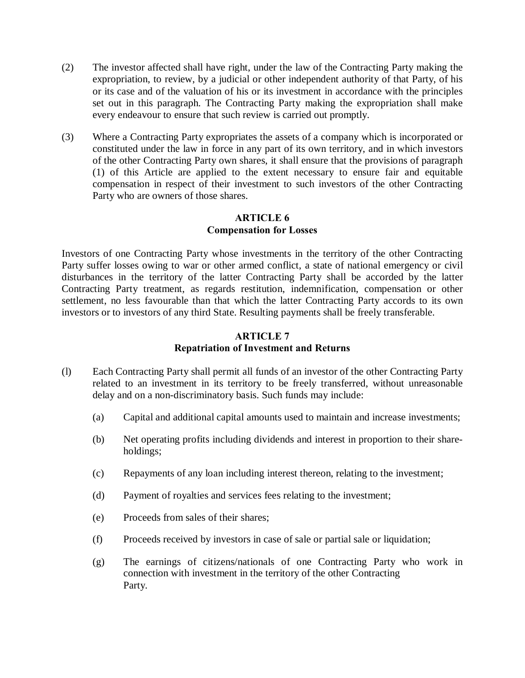- (2) The investor affected shall have right, under the law of the Contracting Party making the expropriation, to review, by a judicial or other independent authority of that Party, of his or its case and of the valuation of his or its investment in accordance with the principles set out in this paragraph. The Contracting Party making the expropriation shall make every endeavour to ensure that such review is carried out promptly.
- (3) Where a Contracting Party expropriates the assets of a company which is incorporated or constituted under the law in force in any part of its own territory, and in which investors of the other Contracting Party own shares, it shall ensure that the provisions of paragraph (1) of this Article are applied to the extent necessary to ensure fair and equitable compensation in respect of their investment to such investors of the other Contracting Party who are owners of those shares.

# **ARTICLE 6 Compensation for Losses**

Investors of one Contracting Party whose investments in the territory of the other Contracting Party suffer losses owing to war or other armed conflict, a state of national emergency or civil disturbances in the territory of the latter Contracting Party shall be accorded by the latter Contracting Party treatment, as regards restitution, indemnification, compensation or other settlement, no less favourable than that which the latter Contracting Party accords to its own investors or to investors of any third State. Resulting payments shall be freely transferable.

# **ARTICLE 7 Repatriation of Investment and Returns**

- (l) Each Contracting Party shall permit all funds of an investor of the other Contracting Party related to an investment in its territory to be freely transferred, without unreasonable delay and on a non-discriminatory basis. Such funds may include:
	- (a) Capital and additional capital amounts used to maintain and increase investments;
	- (b) Net operating profits including dividends and interest in proportion to their shareholdings;
	- (c) Repayments of any loan including interest thereon, relating to the investment;
	- (d) Payment of royalties and services fees relating to the investment;
	- (e) Proceeds from sales of their shares;
	- (f) Proceeds received by investors in case of sale or partial sale or liquidation;
	- (g) The earnings of citizens/nationals of one Contracting Party who work in connection with investment in the territory of the other Contracting Party.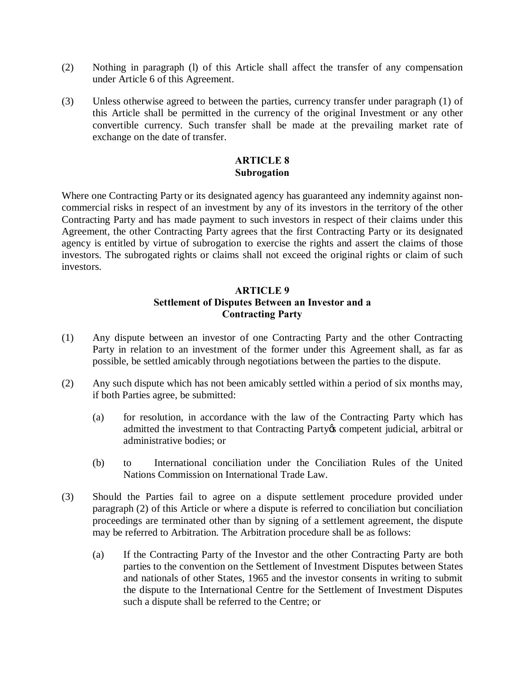- (2) Nothing in paragraph (l) of this Article shall affect the transfer of any compensation under Article 6 of this Agreement.
- (3) Unless otherwise agreed to between the parties, currency transfer under paragraph (1) of this Article shall be permitted in the currency of the original Investment or any other convertible currency. Such transfer shall be made at the prevailing market rate of exchange on the date of transfer.

# **ARTICLE 8 Subrogation**

Where one Contracting Party or its designated agency has guaranteed any indemnity against noncommercial risks in respect of an investment by any of its investors in the territory of the other Contracting Party and has made payment to such investors in respect of their claims under this Agreement, the other Contracting Party agrees that the first Contracting Party or its designated agency is entitled by virtue of subrogation to exercise the rights and assert the claims of those investors. The subrogated rights or claims shall not exceed the original rights or claim of such investors.

# **ARTICLE 9 Settlement of Disputes Between an Investor and a Contracting Party**

- (1) Any dispute between an investor of one Contracting Party and the other Contracting Party in relation to an investment of the former under this Agreement shall, as far as possible, be settled amicably through negotiations between the parties to the dispute.
- (2) Any such dispute which has not been amicably settled within a period of six months may, if both Parties agree, be submitted:
	- (a) for resolution, in accordance with the law of the Contracting Party which has admitted the investment to that Contracting Party & competent judicial, arbitral or administrative bodies; or
	- (b) to International conciliation under the Conciliation Rules of the United Nations Commission on International Trade Law.
- (3) Should the Parties fail to agree on a dispute settlement procedure provided under paragraph (2) of this Article or where a dispute is referred to conciliation but conciliation proceedings are terminated other than by signing of a settlement agreement, the dispute may be referred to Arbitration. The Arbitration procedure shall be as follows:
	- (a) If the Contracting Party of the Investor and the other Contracting Party are both parties to the convention on the Settlement of Investment Disputes between States and nationals of other States, 1965 and the investor consents in writing to submit the dispute to the International Centre for the Settlement of Investment Disputes such a dispute shall be referred to the Centre; or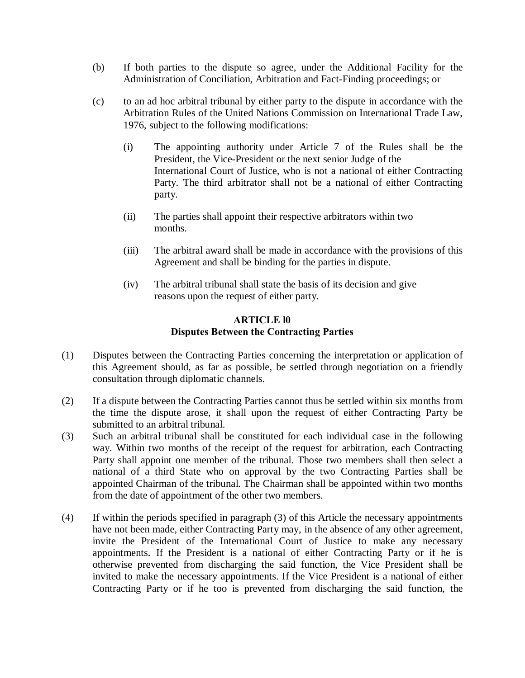- (b) If both parties to the dispute so agree, under the Additional Facility for the Administration of Conciliation, Arbitration and Fact-Finding proceedings; or
- (c) to an ad hoc arbitral tribunal by either party to the dispute in accordance with the Arbitration Rules of the United Nations Commission on International Trade Law, 1976, subject to the following modifications:
	- (i) The appointing authority under Article 7 of the Rules shall be the President, the Vice-President or the next senior Judge of the International Court of Justice, who is not a national of either Contracting Party. The third arbitrator shall not be a national of either Contracting party.
	- (ii) The parties shall appoint their respective arbitrators within two months.
	- (iii) The arbitral award shall be made in accordance with the provisions of this Agreement and shall be binding for the parties in dispute.
	- (iv) The arbitral tribunal shall state the basis of its decision and give reasons upon the request of either party.

## **ARTICLE l0 Disputes Between the Contracting Parties**

- (1) Disputes between the Contracting Parties concerning the interpretation or application of this Agreement should, as far as possible, be settled through negotiation on a friendly consultation through diplomatic channels.
- (2) If a dispute between the Contracting Parties cannot thus be settled within six months from the time the dispute arose, it shall upon the request of either Contracting Party be submitted to an arbitral tribunal.
- (3) Such an arbitral tribunal shall be constituted for each individual case in the following way. Within two months of the receipt of the request for arbitration, each Contracting Party shall appoint one member of the tribunal. Those two members shall then select a national of a third State who on approval by the two Contracting Parties shall be appointed Chairman of the tribunal. The Chairman shall be appointed within two months from the date of appointment of the other two members.
- (4) If within the periods specified in paragraph (3) of this Article the necessary appointments have not been made, either Contracting Party may, in the absence of any other agreement, invite the President of the International Court of Justice to make any necessary appointments. If the President is a national of either Contracting Party or if he is otherwise prevented from discharging the said function, the Vice President shall be invited to make the necessary appointments. If the Vice President is a national of either Contracting Party or if he too is prevented from discharging the said function, the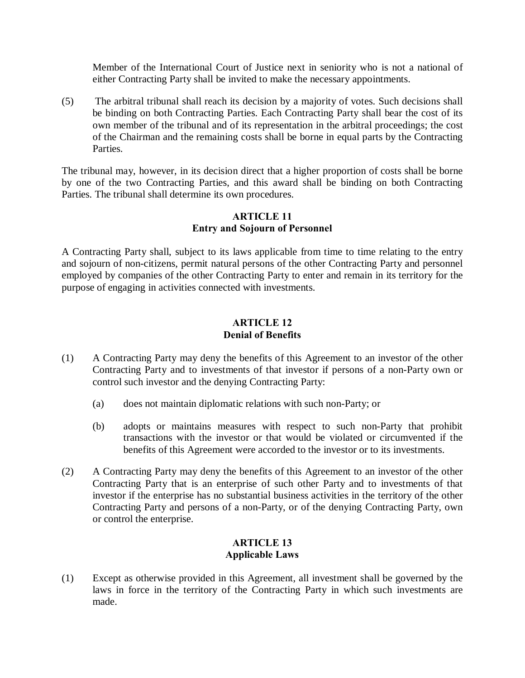Member of the International Court of Justice next in seniority who is not a national of either Contracting Party shall be invited to make the necessary appointments.

(5) The arbitral tribunal shall reach its decision by a majority of votes. Such decisions shall be binding on both Contracting Parties. Each Contracting Party shall bear the cost of its own member of the tribunal and of its representation in the arbitral proceedings; the cost of the Chairman and the remaining costs shall be borne in equal parts by the Contracting Parties.

The tribunal may, however, in its decision direct that a higher proportion of costs shall be borne by one of the two Contracting Parties, and this award shall be binding on both Contracting Parties. The tribunal shall determine its own procedures.

# **ARTICLE 11 Entry and Sojourn of Personnel**

A Contracting Party shall, subject to its laws applicable from time to time relating to the entry and sojourn of non-citizens, permit natural persons of the other Contracting Party and personnel employed by companies of the other Contracting Party to enter and remain in its territory for the purpose of engaging in activities connected with investments.

# **ARTICLE 12 Denial of Benefits**

- (1) A Contracting Party may deny the benefits of this Agreement to an investor of the other Contracting Party and to investments of that investor if persons of a non-Party own or control such investor and the denying Contracting Party:
	- (a) does not maintain diplomatic relations with such non-Party; or
	- (b) adopts or maintains measures with respect to such non-Party that prohibit transactions with the investor or that would be violated or circumvented if the benefits of this Agreement were accorded to the investor or to its investments.
- (2) A Contracting Party may deny the benefits of this Agreement to an investor of the other Contracting Party that is an enterprise of such other Party and to investments of that investor if the enterprise has no substantial business activities in the territory of the other Contracting Party and persons of a non-Party, or of the denying Contracting Party, own or control the enterprise.

# **ARTICLE 13 Applicable Laws**

(1) Except as otherwise provided in this Agreement, all investment shall be governed by the laws in force in the territory of the Contracting Party in which such investments are made.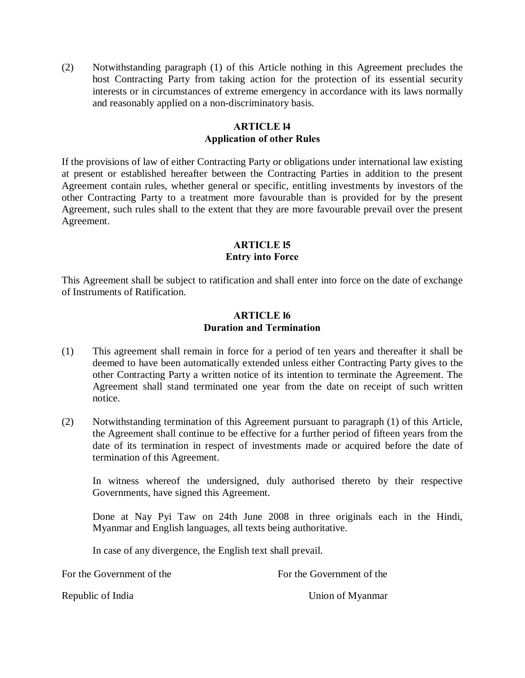(2) Notwithstanding paragraph (1) of this Article nothing in this Agreement precludes the host Contracting Party from taking action for the protection of its essential security interests or in circumstances of extreme emergency in accordance with its laws normally and reasonably applied on a non-discriminatory basis.

### **ARTICLE l4 Application of other Rules**

If the provisions of law of either Contracting Party or obligations under international law existing at present or established hereafter between the Contracting Parties in addition to the present Agreement contain rules, whether general or specific, entitling investments by investors of the other Contracting Party to a treatment more favourable than is provided for by the present Agreement, such rules shall to the extent that they are more favourable prevail over the present Agreement.

## **ARTICLE l5 Entry into Force**

This Agreement shall be subject to ratification and shall enter into force on the date of exchange of Instruments of Ratification.

### **ARTICLE l6 Duration and Termination**

- (1) This agreement shall remain in force for a period of ten years and thereafter it shall be deemed to have been automatically extended unless either Contracting Party gives to the other Contracting Party a written notice of its intention to terminate the Agreement. The Agreement shall stand terminated one year from the date on receipt of such written notice.
- (2) Notwithstanding termination of this Agreement pursuant to paragraph (1) of this Article, the Agreement shall continue to be effective for a further period of fifteen years from the date of its termination in respect of investments made or acquired before the date of termination of this Agreement.

In witness whereof the undersigned, duly authorised thereto by their respective Governments, have signed this Agreement.

Done at Nay Pyi Taw on 24th June 2008 in three originals each in the Hindi, Myanmar and English languages, all texts being authoritative.

In case of any divergence, the English text shall prevail.

For the Government of the Forthe Government of the Forthe Government of the Forthe Government of the Forthe Government of the Sovernment of the Sovernment of the Sovernment of the Sovernment of the Sovernment of the Sovern

Republic of India **Network** Union of Myanmar